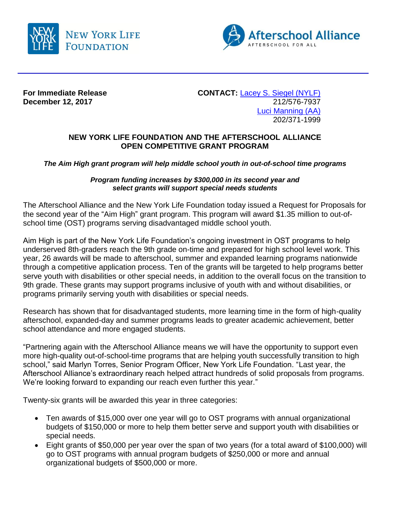



**December 12, 2017** 

**For Immediate Release CONTACT:** [Lacey S. Siegel \(NYLF\)](mailto:lacey_s_siegel@newyorklife.com?subject=New%20York%20Life%20Fdtn/Afterschool%20Alliance)<br>December 12, 2017<br>212/576-7937 [Luci Manning](mailto:luci@prsolutionsdc.com?subject=New%20York%20Life%20Fdtn/Afterschool%20Alliance) (AA) 202/371-1999

## **NEW YORK LIFE FOUNDATION AND THE AFTERSCHOOL ALLIANCE OPEN COMPETITIVE GRANT PROGRAM**

*The Aim High grant program will help middle school youth in out-of-school time programs*

## *Program funding increases by \$300,000 in its second year and select grants will support special needs students*

The Afterschool Alliance and the New York Life Foundation today issued a Request for Proposals for the second year of the "Aim High" grant program. This program will award \$1.35 million to out-ofschool time (OST) programs serving disadvantaged middle school youth.

Aim High is part of the New York Life Foundation's ongoing investment in OST programs to help underserved 8th-graders reach the 9th grade on-time and prepared for high school level work. This year, 26 awards will be made to afterschool, summer and expanded learning programs nationwide through a competitive application process. Ten of the grants will be targeted to help programs better serve youth with disabilities or other special needs, in addition to the overall focus on the transition to 9th grade. These grants may support programs inclusive of youth with and without disabilities, or programs primarily serving youth with disabilities or special needs.

Research has shown that for disadvantaged students, more learning time in the form of high-quality afterschool, expanded-day and summer programs leads to greater academic achievement, better school attendance and more engaged students.

"Partnering again with the Afterschool Alliance means we will have the opportunity to support even more high-quality out-of-school-time programs that are helping youth successfully transition to high school," said Marlyn Torres, Senior Program Officer, New York Life Foundation. "Last year, the Afterschool Alliance's extraordinary reach helped attract hundreds of solid proposals from programs. We're looking forward to expanding our reach even further this year."

Twenty-six grants will be awarded this year in three categories:

- Ten awards of \$15,000 over one year will go to OST programs with annual organizational budgets of \$150,000 or more to help them better serve and support youth with disabilities or special needs.
- Eight grants of \$50,000 per year over the span of two years (for a total award of \$100,000) will go to OST programs with annual program budgets of \$250,000 or more and annual organizational budgets of \$500,000 or more.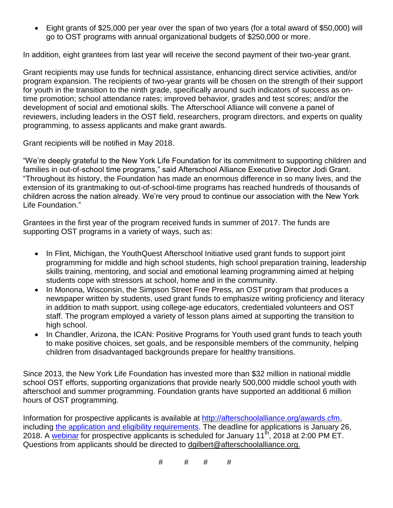Eight grants of \$25,000 per year over the span of two years (for a total award of \$50,000) will go to OST programs with annual organizational budgets of \$250,000 or more.

In addition, eight grantees from last year will receive the second payment of their two-year grant.

Grant recipients may use funds for technical assistance, enhancing direct service activities, and/or program expansion. The recipients of two-year grants will be chosen on the strength of their support for youth in the transition to the ninth grade, specifically around such indicators of success as ontime promotion; school attendance rates; improved behavior, grades and test scores; and/or the development of social and emotional skills. The Afterschool Alliance will convene a panel of reviewers, including leaders in the OST field, researchers, program directors, and experts on quality programming, to assess applicants and make grant awards.

Grant recipients will be notified in May 2018.

"We're deeply grateful to the New York Life Foundation for its commitment to supporting children and families in out-of-school time programs," said Afterschool Alliance Executive Director Jodi Grant. "Throughout its history, the Foundation has made an enormous difference in so many lives, and the extension of its grantmaking to out-of-school-time programs has reached hundreds of thousands of children across the nation already. We're very proud to continue our association with the New York Life Foundation."

Grantees in the first year of the program received funds in summer of 2017. The funds are supporting OST programs in a variety of ways, such as:

- In Flint, Michigan, the YouthQuest Afterschool Initiative used grant funds to support joint programming for middle and high school students, high school preparation training, leadership skills training, mentoring, and social and emotional learning programming aimed at helping students cope with stressors at school, home and in the community.
- In Monona, Wisconsin, the Simpson Street Free Press, an OST program that produces a newspaper written by students, used grant funds to emphasize writing proficiency and literacy in addition to math support, using college-age educators, credentialed volunteers and OST staff. The program employed a variety of lesson plans aimed at supporting the transition to high school.
- In Chandler, Arizona, the ICAN: Positive Programs for Youth used grant funds to teach youth to make positive choices, set goals, and be responsible members of the community, helping children from disadvantaged backgrounds prepare for healthy transitions.

Since 2013, the New York Life Foundation has invested more than \$32 million in national middle school OST efforts, supporting organizations that provide nearly 500,000 middle school youth with afterschool and summer programming. Foundation grants have supported an additional 6 million hours of OST programming.

Information for prospective applicants is available at [http://afterschoolalliance.org/awards.cfm,](http://afterschoolalliance.org/awards.cfm) including the application and eligibility [requirements.](http://afterschoolalliance.org/documents/AimHighGrantProgramRFP_2018.pdf) The deadline for applications is January 26, 2018. A [webinar](http://afterschoolalliance.org/webinars.cfm?ID=C5DAD46F-5056-A82E-7A824BF93EEB2150) for prospective applicants is scheduled for January 11<sup>th</sup>, 2018 at 2:00 PM ET. Questions from applicants should be directed to [dgilbert@afterschoolalliance.org.](mailto:dgilbert@afterschoolalliance.org)

# # # #